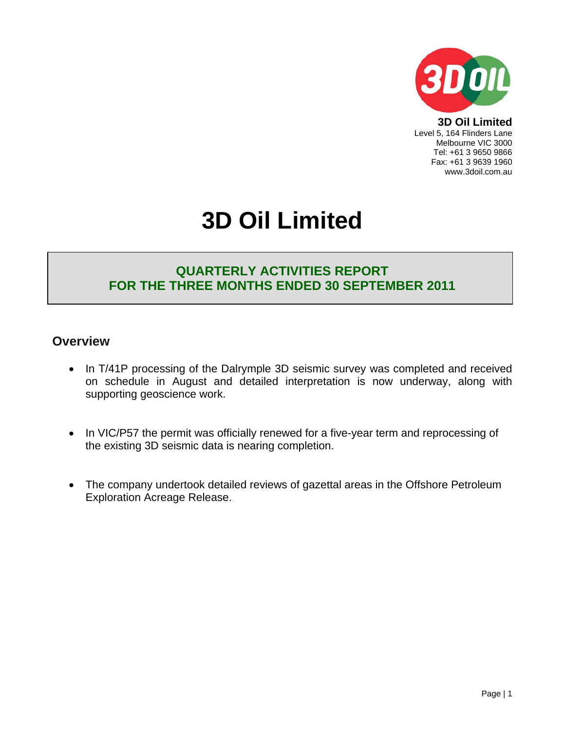

**3D Oil Limited**  Level 5, 164 Flinders Lane Melbourne VIC 3000 Tel: +61 3 9650 9866 Fax: +61 3 9639 1960 www.3doil.com.au

# **3D Oil Limited**

## **QUARTERLY ACTIVITIES REPORT FOR THE THREE MONTHS ENDED 30 SEPTEMBER 2011**

### **Overview**

- In T/41P processing of the Dalrymple 3D seismic survey was completed and received on schedule in August and detailed interpretation is now underway, along with supporting geoscience work.
- In VIC/P57 the permit was officially renewed for a five-year term and reprocessing of the existing 3D seismic data is nearing completion.
- The company undertook detailed reviews of gazettal areas in the Offshore Petroleum Exploration Acreage Release.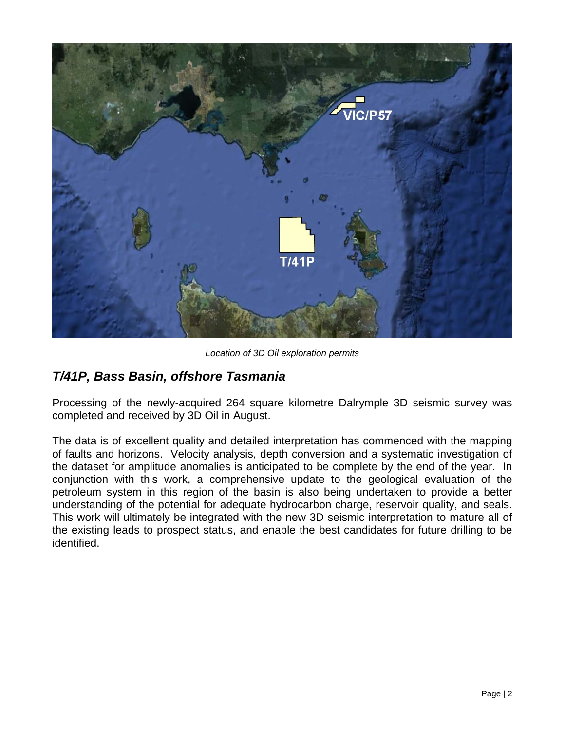

*Location of 3D Oil exploration permits* 

## *T/41P, Bass Basin, offshore Tasmania*

Processing of the newly-acquired 264 square kilometre Dalrymple 3D seismic survey was completed and received by 3D Oil in August.

The data is of excellent quality and detailed interpretation has commenced with the mapping of faults and horizons. Velocity analysis, depth conversion and a systematic investigation of the dataset for amplitude anomalies is anticipated to be complete by the end of the year. In conjunction with this work, a comprehensive update to the geological evaluation of the petroleum system in this region of the basin is also being undertaken to provide a better understanding of the potential for adequate hydrocarbon charge, reservoir quality, and seals. This work will ultimately be integrated with the new 3D seismic interpretation to mature all of the existing leads to prospect status, and enable the best candidates for future drilling to be identified.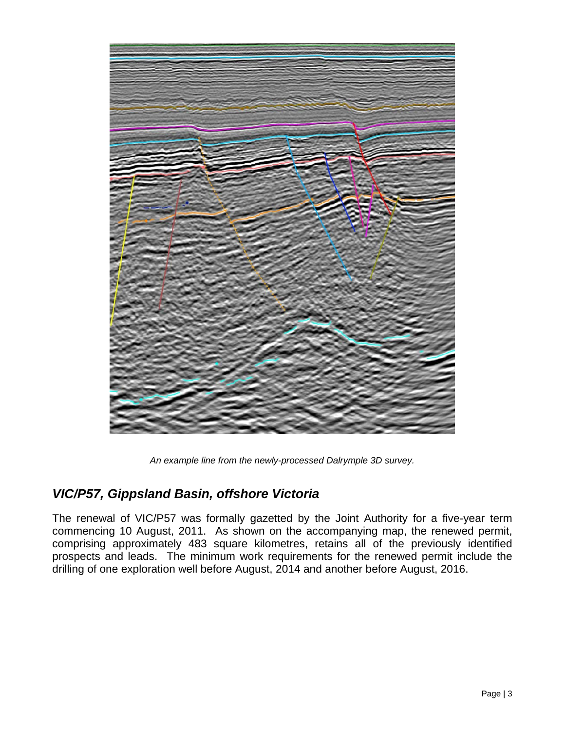

*An example line from the newly-processed Dalrymple 3D survey.* 

## *VIC/P57, Gippsland Basin, offshore Victoria*

The renewal of VIC/P57 was formally gazetted by the Joint Authority for a five-year term commencing 10 August, 2011. As shown on the accompanying map, the renewed permit, comprising approximately 483 square kilometres, retains all of the previously identified prospects and leads. The minimum work requirements for the renewed permit include the drilling of one exploration well before August, 2014 and another before August, 2016.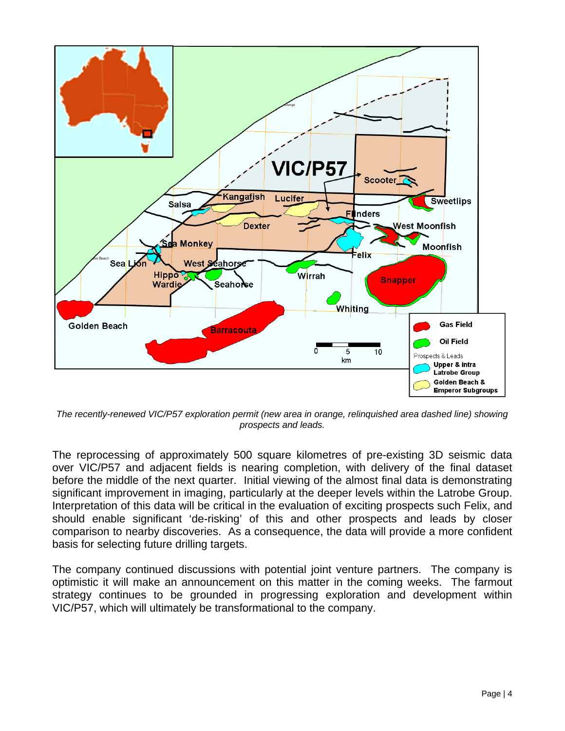

*The recently-renewed VIC/P57 exploration permit (new area in orange, relinquished area dashed line) showing prospects and leads.* 

The reprocessing of approximately 500 square kilometres of pre-existing 3D seismic data over VIC/P57 and adjacent fields is nearing completion, with delivery of the final dataset before the middle of the next quarter. Initial viewing of the almost final data is demonstrating significant improvement in imaging, particularly at the deeper levels within the Latrobe Group. Interpretation of this data will be critical in the evaluation of exciting prospects such Felix, and should enable significant 'de-risking' of this and other prospects and leads by closer comparison to nearby discoveries. As a consequence, the data will provide a more confident basis for selecting future drilling targets.

The company continued discussions with potential joint venture partners. The company is optimistic it will make an announcement on this matter in the coming weeks. The farmout strategy continues to be grounded in progressing exploration and development within VIC/P57, which will ultimately be transformational to the company.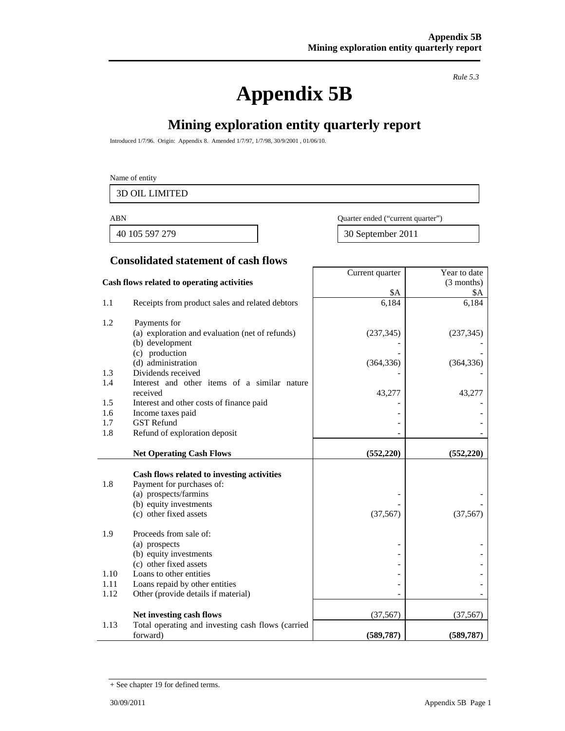# **Appendix 5B**

*Rule 5.3* 

Year to date (3 months)

## **Mining exploration entity quarterly report**

Introduced 1/7/96. Origin: Appendix 8. Amended 1/7/97, 1/7/98, 30/9/2001 , 01/06/10.

#### Name of entity

3D OIL LIMITED

40 105 597 279 30 September 2011

ABN Quarter ended ("current quarter")

Current quarter

#### **Consolidated statement of cash flows**

#### **Cash flows related to operating activities**

|            |                                                                    | \$A        | \$A        |
|------------|--------------------------------------------------------------------|------------|------------|
| 1.1        | Receipts from product sales and related debtors                    | 6,184      | 6,184      |
| 1.2        | Payments for                                                       |            |            |
|            | (a) exploration and evaluation (net of refunds)                    | (237, 345) | (237, 345) |
|            | (b) development                                                    |            |            |
|            | (c) production                                                     |            |            |
|            | (d) administration                                                 | (364, 336) | (364, 336) |
| 1.3<br>1.4 | Dividends received<br>Interest and other items of a similar nature |            |            |
|            | received                                                           | 43,277     | 43,277     |
| 1.5        | Interest and other costs of finance paid                           |            |            |
| 1.6        | Income taxes paid                                                  |            |            |
| 1.7        | <b>GST</b> Refund                                                  |            |            |
| 1.8        | Refund of exploration deposit                                      |            |            |
|            |                                                                    |            |            |
|            | <b>Net Operating Cash Flows</b>                                    | (552, 220) | (552, 220) |
|            | Cash flows related to investing activities                         |            |            |
| 1.8        | Payment for purchases of:                                          |            |            |
|            | (a) prospects/farmins                                              |            |            |
|            | (b) equity investments                                             |            |            |
|            | (c) other fixed assets                                             | (37, 567)  | (37, 567)  |
| 1.9        | Proceeds from sale of:                                             |            |            |
|            | (a) prospects                                                      |            |            |
|            | (b) equity investments                                             |            |            |
|            | (c) other fixed assets                                             |            |            |
| 1.10       | Loans to other entities                                            |            |            |
| 1.11       | Loans repaid by other entities                                     |            |            |
| 1.12       | Other (provide details if material)                                |            |            |
|            | Net investing cash flows                                           | (37, 567)  | (37, 567)  |
| 1.13       | Total operating and investing cash flows (carried                  |            |            |
|            | forward)                                                           | (589, 787) | (589, 787) |

<sup>+</sup> See chapter 19 for defined terms.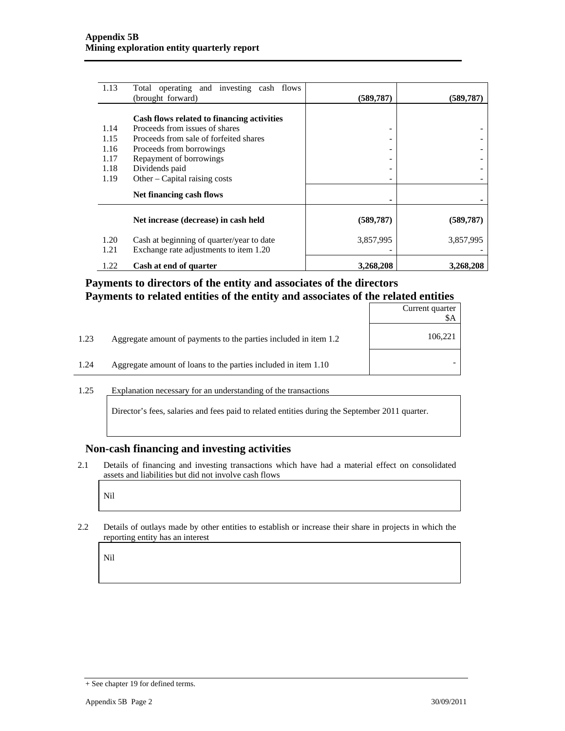| 1.13         | Total operating and investing cash flows<br>(brought forward)                       | (589, 787) | (589, 787) |
|--------------|-------------------------------------------------------------------------------------|------------|------------|
|              |                                                                                     |            |            |
|              | Cash flows related to financing activities                                          |            |            |
| 1.14         | Proceeds from issues of shares                                                      | -          |            |
| 1.15         | Proceeds from sale of forfeited shares                                              |            |            |
| 1.16         | Proceeds from borrowings                                                            |            |            |
| 1.17         | Repayment of borrowings                                                             |            |            |
| 1.18         | Dividends paid                                                                      |            |            |
| 1.19         | Other – Capital raising costs                                                       | -          |            |
|              | Net financing cash flows                                                            |            |            |
|              | Net increase (decrease) in cash held                                                | (589, 787) | (589, 787) |
| 1.20<br>1.21 | Cash at beginning of quarter/year to date<br>Exchange rate adjustments to item 1.20 | 3,857,995  | 3,857,995  |
| 1.22         | Cash at end of quarter                                                              | 3,268,208  | 3,268,208  |

#### **Payments to directors of the entity and associates of the directors Payments to related entities of the entity and associates of the related entities**

|      |                                                                  | Current quarter |
|------|------------------------------------------------------------------|-----------------|
| 1.23 | Aggregate amount of payments to the parties included in item 1.2 | 106,221         |
| 1.24 | Aggregate amount of loans to the parties included in item 1.10   |                 |

1.25 Explanation necessary for an understanding of the transactions

Director's fees, salaries and fees paid to related entities during the September 2011 quarter.

#### **Non-cash financing and investing activities**

2.1 Details of financing and investing transactions which have had a material effect on consolidated assets and liabilities but did not involve cash flows

Nil

2.2 Details of outlays made by other entities to establish or increase their share in projects in which the reporting entity has an interest

Nil

<sup>+</sup> See chapter 19 for defined terms.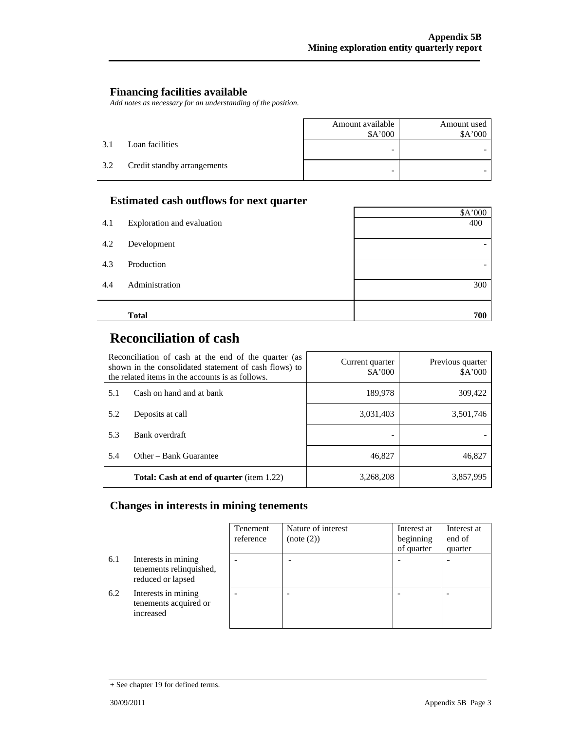#### **Financing facilities available**

*Add notes as necessary for an understanding of the position.* 

|     |                             | Amount available<br>\$A'000 | Amount used<br>\$A'000 |
|-----|-----------------------------|-----------------------------|------------------------|
| 3.1 | Loan facilities             | -                           |                        |
| 3.2 | Credit standby arrangements | -                           |                        |

#### **Estimated cash outflows for next quarter**

|     |                            | \$A'000 |
|-----|----------------------------|---------|
| 4.1 | Exploration and evaluation | 400     |
| 4.2 | Development                |         |
| 4.3 | Production                 |         |
| 4.4 | Administration             | 300     |
|     | <b>Total</b>               | 700     |

## **Reconciliation of cash**

| Reconciliation of cash at the end of the quarter (as<br>shown in the consolidated statement of cash flows) to<br>the related items in the accounts is as follows. |                                                  | Current quarter<br>A'000 | Previous quarter<br>\$A'000 |
|-------------------------------------------------------------------------------------------------------------------------------------------------------------------|--------------------------------------------------|--------------------------|-----------------------------|
| 5.1                                                                                                                                                               | Cash on hand and at bank                         | 189,978                  | 309,422                     |
| 5.2                                                                                                                                                               | Deposits at call                                 | 3,031,403                | 3,501,746                   |
| 5.3                                                                                                                                                               | Bank overdraft                                   |                          |                             |
| 5.4                                                                                                                                                               | Other – Bank Guarantee                           | 46,827                   | 46,827                      |
|                                                                                                                                                                   | <b>Total: Cash at end of quarter</b> (item 1.22) | 3,268,208                | 3,857,995                   |

#### **Changes in interests in mining tenements**

|     |                                                                     | Tenement<br>reference | Nature of interest<br>(note (2)) | Interest at<br>beginning<br>of quarter | Interest at<br>end of<br>quarter |
|-----|---------------------------------------------------------------------|-----------------------|----------------------------------|----------------------------------------|----------------------------------|
| 6.1 | Interests in mining<br>tenements relinquished,<br>reduced or lapsed |                       |                                  |                                        |                                  |
| 6.2 | Interests in mining<br>tenements acquired or<br>increased           |                       |                                  |                                        |                                  |

<sup>+</sup> See chapter 19 for defined terms.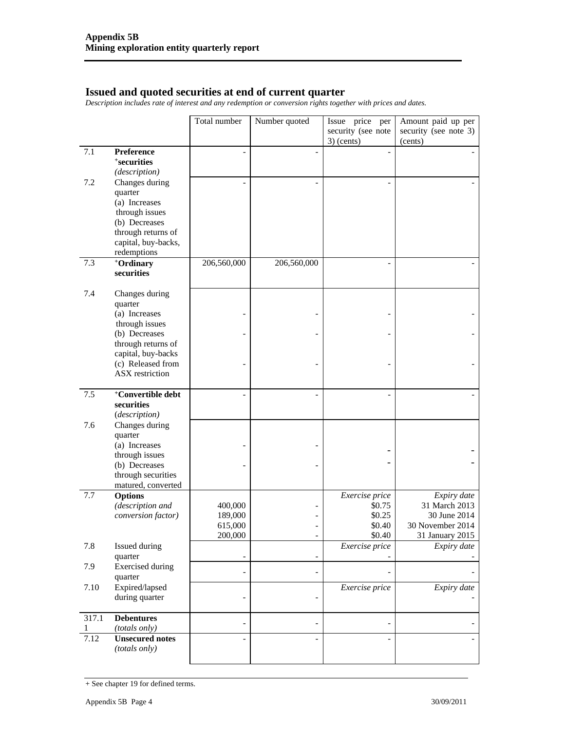#### **Issued and quoted securities at end of current quarter**

*Description includes rate of interest and any redemption or conversion rights together with prices and dates.* 

|            |                                                                           | Total number             | Number quoted            | Issue price per<br>security (see note | Amount paid up per<br>security (see note 3) |
|------------|---------------------------------------------------------------------------|--------------------------|--------------------------|---------------------------------------|---------------------------------------------|
|            |                                                                           |                          |                          | $3)$ (cents)                          | (cents)                                     |
| 7.1        | Preference<br><i><b>*securities</b></i><br>(description)                  |                          | $\overline{a}$           |                                       |                                             |
| 7.2        | Changes during<br>quarter<br>(a) Increases<br>through issues              |                          |                          |                                       |                                             |
|            | (b) Decreases<br>through returns of<br>capital, buy-backs,<br>redemptions |                          |                          |                                       |                                             |
| 7.3        | +Ordinary<br>securities                                                   | 206,560,000              | 206,560,000              | ۰                                     |                                             |
| 7.4        | Changes during<br>quarter                                                 |                          |                          |                                       |                                             |
|            | (a) Increases<br>through issues                                           |                          |                          |                                       |                                             |
|            | (b) Decreases<br>through returns of                                       |                          | $\overline{\phantom{0}}$ |                                       |                                             |
|            | capital, buy-backs<br>(c) Released from<br><b>ASX</b> restriction         |                          |                          |                                       |                                             |
| 7.5        | +Convertible debt<br>securities<br>(description)                          |                          | $\overline{a}$           |                                       |                                             |
| 7.6        | Changes during<br>quarter                                                 |                          |                          |                                       |                                             |
|            | (a) Increases<br>through issues                                           |                          |                          |                                       |                                             |
|            | (b) Decreases<br>through securities<br>matured, converted                 |                          | $\overline{\phantom{0}}$ |                                       |                                             |
| 7.7        | <b>Options</b>                                                            |                          |                          | Exercise price                        | Expiry date                                 |
|            | (description and                                                          | 400,000                  |                          | \$0.75                                | 31 March 2013                               |
|            | conversion factor)                                                        | 189,000<br>615,000       | $\overline{a}$           | \$0.25<br>\$0.40                      | 30 June 2014<br>30 November 2014            |
|            |                                                                           | 200,000                  | $\overline{\phantom{a}}$ | \$0.40                                | 31 January 2015                             |
| 7.8        | Issued during<br>quarter                                                  | $\overline{\phantom{a}}$ | $\overline{\phantom{0}}$ | Exercise price                        | Expiry date                                 |
| 7.9        | <b>Exercised</b> during<br>quarter                                        | $\overline{a}$           | $\overline{\phantom{0}}$ |                                       |                                             |
| 7.10       | Expired/lapsed<br>during quarter                                          |                          |                          | Exercise price                        | Expiry date                                 |
| 317.1<br>1 | <b>Debentures</b><br>(totals only)                                        |                          | $\overline{a}$           |                                       |                                             |
| 7.12       | <b>Unsecured notes</b><br>(totals only)                                   |                          |                          |                                       |                                             |

<sup>+</sup> See chapter 19 for defined terms.